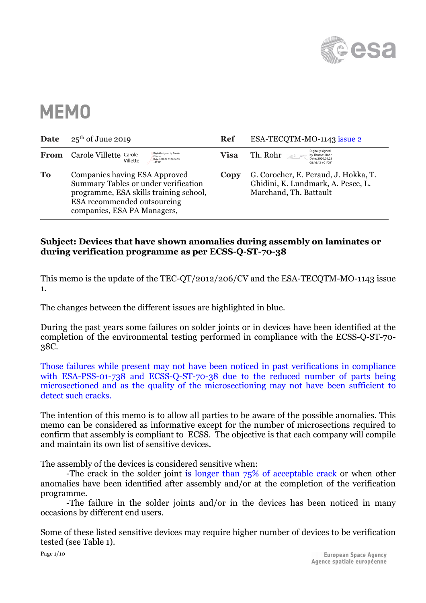

## **MEMO**

| Date | $25th$ of June 2019                                                                                                                                                           | <b>Ref</b> | ESA-TECQTM-MO-1143 issue 2                                                                           |
|------|-------------------------------------------------------------------------------------------------------------------------------------------------------------------------------|------------|------------------------------------------------------------------------------------------------------|
| From | Carole Villette Carole<br>Digitally signed by Carole<br>Villette<br>Date: 2020.02.03 08:36:59<br>Villette<br>$+01'00'$                                                        | Visa       | Digitally signed<br>Th. Rohr $\mathcal{P}$<br>by Thomas Rohr<br>Date: 2020.01.23<br>08:46:43 +01'00' |
| To   | Companies having ESA Approved<br>Summary Tables or under verification<br>programme, ESA skills training school,<br>ESA recommended outsourcing<br>companies, ESA PA Managers, | Copy       | G. Corocher, E. Peraud, J. Hokka, T.<br>Ghidini, K. Lundmark, A. Pesce, L.<br>Marchand, Th. Battault |

## **Subject: Devices that have shown anomalies during assembly on laminates or during verification programme as per ECSS-Q-ST-70-38**

This memo is the update of the TEC-QT/2012/206/CV and the ESA-TECQTM-MO-1143 issue 1.

The changes between the different issues are highlighted in blue.

During the past years some failures on solder joints or in devices have been identified at the completion of the environmental testing performed in compliance with the ECSS-Q-ST-70- 38C.

Those failures while present may not have been noticed in past verifications in compliance with ESA-PSS-01-738 and ECSS-Q-ST-70-38 due to the reduced number of parts being microsectioned and as the quality of the microsectioning may not have been sufficient to detect such cracks.

The intention of this memo is to allow all parties to be aware of the possible anomalies. This memo can be considered as informative except for the number of microsections required to confirm that assembly is compliant to ECSS. The objective is that each company will compile and maintain its own list of sensitive devices.

The assembly of the devices is considered sensitive when:

-The crack in the solder joint is longer than 75% of acceptable crack or when other anomalies have been identified after assembly and/or at the completion of the verification programme.

-The failure in the solder joints and/or in the devices has been noticed in many occasions by different end users.

Some of these listed sensitive devices may require higher number of devices to be verification tested (see Table 1).

Page 1/10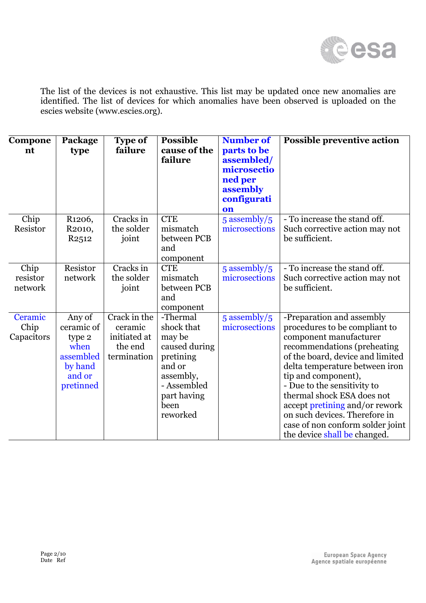

The list of the devices is not exhaustive. This list may be updated once new anomalies are identified. The list of devices for which anomalies have been observed is uploaded on the escies website (www.escies.org).

| Compone<br>nt                 | Package<br>type                                                                       | <b>Type of</b><br>failure                                         | <b>Possible</b><br>cause of the<br>failure                                                                                              | <b>Number of</b><br>parts to be<br>assembled/<br>microsectio<br>ned per<br>assembly<br>configurati<br>on | <b>Possible preventive action</b>                                                                                                                                                                                                                                                                                                                                                                                    |
|-------------------------------|---------------------------------------------------------------------------------------|-------------------------------------------------------------------|-----------------------------------------------------------------------------------------------------------------------------------------|----------------------------------------------------------------------------------------------------------|----------------------------------------------------------------------------------------------------------------------------------------------------------------------------------------------------------------------------------------------------------------------------------------------------------------------------------------------------------------------------------------------------------------------|
| Chip<br>Resistor              | R <sub>1206</sub> ,<br>R <sub>2010</sub> ,<br>R <sub>2512</sub>                       | Cracks in<br>the solder<br>joint                                  | <b>CTE</b><br>mismatch<br>between PCB<br>and<br>component                                                                               | 5 assembly/5<br>microsections                                                                            | - To increase the stand off.<br>Such corrective action may not<br>be sufficient.                                                                                                                                                                                                                                                                                                                                     |
| Chip<br>resistor<br>network   | Resistor<br>network                                                                   | Cracks in<br>the solder<br>joint                                  | <b>CTE</b><br>mismatch<br>between PCB<br>and<br>component                                                                               | $5$ assembly/ $5$<br>microsections                                                                       | - To increase the stand off.<br>Such corrective action may not<br>be sufficient.                                                                                                                                                                                                                                                                                                                                     |
| Ceramic<br>Chip<br>Capacitors | Any of<br>ceramic of<br>type 2<br>when<br>assembled<br>by hand<br>and or<br>pretinned | Crack in the<br>ceramic<br>initiated at<br>the end<br>termination | -Thermal<br>shock that<br>may be<br>caused during<br>pretining<br>and or<br>assembly,<br>- Assembled<br>part having<br>been<br>reworked | 5 assembly/5<br>microsections                                                                            | -Preparation and assembly<br>procedures to be compliant to<br>component manufacturer<br>recommendations (preheating<br>of the board, device and limited<br>delta temperature between iron<br>tip and component),<br>- Due to the sensitivity to<br>thermal shock ESA does not<br>accept pretining and/or rework<br>on such devices. Therefore in<br>case of non conform solder joint<br>the device shall be changed. |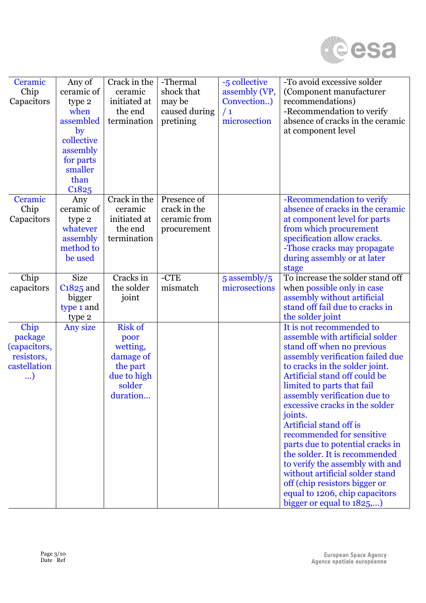

| Ceramic<br>Chip<br>Capacitors                                      | Any of<br>ceramic of<br>type 2<br>when<br>assembled<br>by<br>collective<br>assembly<br>for parts<br>smaller<br>than<br>C <sub>1</sub> 8 <sub>25</sub> | Crack in the<br>ceramic<br>initiated at<br>the end<br>termination                                | -Thermal<br>shock that<br>may be<br>caused during<br>pretining | -5 collective<br>assembly (VP,<br>Convection)<br>/1<br>microsection | -To avoid excessive solder<br>(Component manufacturer<br>recommendations)<br>-Recommendation to verify<br>absence of cracks in the ceramic<br>at component level                                                                                                                                                                                                                                                                                                                                                                                                                                               |
|--------------------------------------------------------------------|-------------------------------------------------------------------------------------------------------------------------------------------------------|--------------------------------------------------------------------------------------------------|----------------------------------------------------------------|---------------------------------------------------------------------|----------------------------------------------------------------------------------------------------------------------------------------------------------------------------------------------------------------------------------------------------------------------------------------------------------------------------------------------------------------------------------------------------------------------------------------------------------------------------------------------------------------------------------------------------------------------------------------------------------------|
| Ceramic<br>Chip<br>Capacitors                                      | Any<br>ceramic of<br>type 2<br>whatever<br>assembly<br>method to<br>be used                                                                           | Crack in the<br>ceramic<br>initiated at<br>the end<br>termination                                | Presence of<br>crack in the<br>ceramic from<br>procurement     |                                                                     | -Recommendation to verify<br>absence of cracks in the ceramic<br>at component level for parts<br>from which procurement<br>specification allow cracks.<br>-Those cracks may propagate<br>during assembly or at later<br>stage                                                                                                                                                                                                                                                                                                                                                                                  |
| Chip<br>capacitors                                                 | <b>Size</b><br>$C1825$ and<br>bigger<br>type 1 and<br>type 2                                                                                          | Cracks in<br>the solder<br>joint                                                                 | $-CTE$<br>mismatch                                             | 5 assembly/5<br>microsections                                       | To increase the solder stand off<br>when possible only in case<br>assembly without artificial<br>stand off fail due to cracks in<br>the solder joint                                                                                                                                                                                                                                                                                                                                                                                                                                                           |
| Chip<br>package<br>(capacitors,<br>resistors,<br>castellation<br>) | Any size                                                                                                                                              | <b>Risk of</b><br>poor<br>wetting,<br>damage of<br>the part<br>due to high<br>solder<br>duration |                                                                |                                                                     | It is not recommended to<br>assemble with artificial solder<br>stand off when no previous<br>assembly verification failed due<br>to cracks in the solder joint.<br>Artificial stand off could be<br>limited to parts that fail<br>assembly verification due to<br>excessive cracks in the solder<br>joints.<br>Artificial stand off is<br>recommended for sensitive<br>parts due to potential cracks in<br>the solder. It is recommended<br>to verify the assembly with and<br>without artificial solder stand<br>off (chip resistors bigger or<br>equal to 1206, chip capacitors<br>bigger or equal to 1825,) |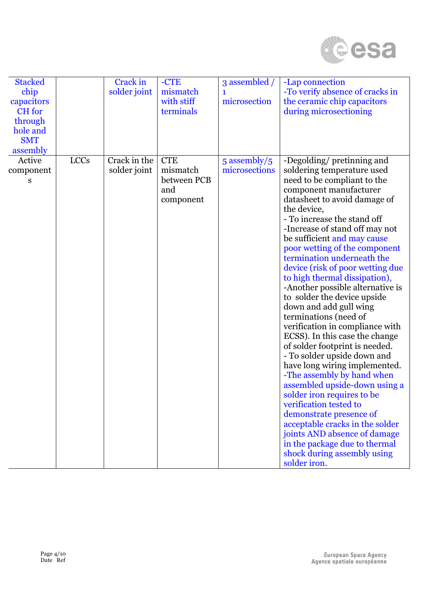

| <b>Stacked</b><br>chip<br>capacitors<br><b>CH</b> for<br>through<br>hole and<br><b>SMT</b><br>assembly |             | <b>Crack</b> in<br>solder joint | $-CTE$<br>mismatch<br>with stiff<br>terminals             | 3 assembled /<br>1<br>microsection | -Lap connection<br>-To verify absence of cracks in<br>the ceramic chip capacitors<br>during microsectioning                                                                                                                                                                                                                                                                                                                                                                                                                                                                                                                                                                                                                                                                                                                                                                                                                                                                                           |
|--------------------------------------------------------------------------------------------------------|-------------|---------------------------------|-----------------------------------------------------------|------------------------------------|-------------------------------------------------------------------------------------------------------------------------------------------------------------------------------------------------------------------------------------------------------------------------------------------------------------------------------------------------------------------------------------------------------------------------------------------------------------------------------------------------------------------------------------------------------------------------------------------------------------------------------------------------------------------------------------------------------------------------------------------------------------------------------------------------------------------------------------------------------------------------------------------------------------------------------------------------------------------------------------------------------|
| Active<br>component<br>S                                                                               | <b>LCCs</b> | Crack in the<br>solder joint    | <b>CTE</b><br>mismatch<br>between PCB<br>and<br>component | $5$ assembly/ $5$<br>microsections | -Degolding/pretinning and<br>soldering temperature used<br>need to be compliant to the<br>component manufacturer<br>datasheet to avoid damage of<br>the device,<br>- To increase the stand off<br>-Increase of stand off may not<br>be sufficient and may cause<br>poor wetting of the component<br>termination underneath the<br>device (risk of poor wetting due<br>to high thermal dissipation),<br>-Another possible alternative is<br>to solder the device upside<br>down and add gull wing<br>terminations (need of<br>verification in compliance with<br>ECSS). In this case the change<br>of solder footprint is needed.<br>- To solder upside down and<br>have long wiring implemented.<br>-The assembly by hand when<br>assembled upside-down using a<br>solder iron requires to be<br>verification tested to<br>demonstrate presence of<br>acceptable cracks in the solder<br>joints AND absence of damage<br>in the package due to thermal<br>shock during assembly using<br>solder iron. |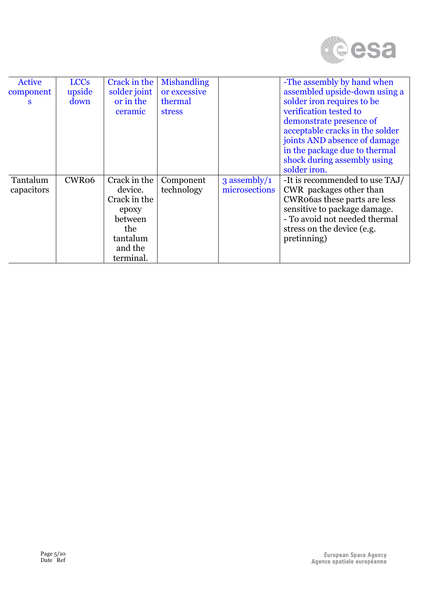

| Active     | <b>LCCs</b>       | Crack in the | <b>Mishandling</b> |                | -The assembly by hand when      |
|------------|-------------------|--------------|--------------------|----------------|---------------------------------|
| component  | upside            | solder joint | or excessive       |                | assembled upside-down using a   |
| S          | down              | or in the    | thermal            |                | solder iron requires to be      |
|            |                   | ceramic      | <b>stress</b>      |                | verification tested to          |
|            |                   |              |                    |                | demonstrate presence of         |
|            |                   |              |                    |                | acceptable cracks in the solder |
|            |                   |              |                    |                | joints AND absence of damage    |
|            |                   |              |                    |                | in the package due to thermal   |
|            |                   |              |                    |                | shock during assembly using     |
|            |                   |              |                    |                | solder iron.                    |
| Tantalum   | CWR <sub>06</sub> | Crack in the | Component          | $3$ assembly/1 | -It is recommended to use TAJ/  |
| capacitors |                   | device.      | technology         | microsections  | CWR packages other than         |
|            |                   | Crack in the |                    |                | CWRO6as these parts are less    |
|            |                   | epoxy        |                    |                | sensitive to package damage.    |
|            |                   | between      |                    |                | - To avoid not needed thermal   |
|            |                   | the          |                    |                | stress on the device (e.g.      |
|            |                   | tantalum     |                    |                | pretinning)                     |
|            |                   | and the      |                    |                |                                 |
|            |                   | terminal.    |                    |                |                                 |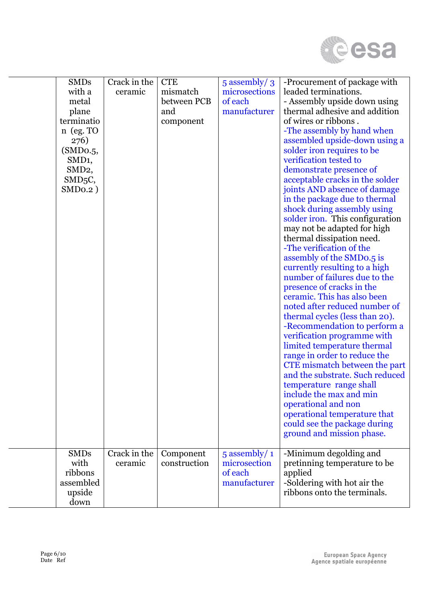

| <b>SMDs</b><br>with a<br>metal<br>plane<br>terminatio<br>$n$ (eg. TO<br>276)<br>(SMDO.5,<br>SMD <sub>1</sub> ,<br>SMD <sub>2</sub> ,<br>SMD <sub>5</sub> C,<br>SMDo.2) | Crack in the<br>ceramic | <b>CTE</b><br>mismatch<br>between PCB<br>and<br>component | $5$ assembly/ $3$<br>microsections<br>of each<br>manufacturer | -Procurement of package with<br>leaded terminations.<br>- Assembly upside down using<br>thermal adhesive and addition<br>of wires or ribbons.<br>-The assembly by hand when<br>assembled upside-down using a<br>solder iron requires to be<br>verification tested to<br>demonstrate presence of<br>acceptable cracks in the solder<br>joints AND absence of damage<br>in the package due to thermal<br>shock during assembly using<br>solder iron. This configuration<br>may not be adapted for high<br>thermal dissipation need.<br>-The verification of the<br>assembly of the SMDo.5 is<br>currently resulting to a high<br>number of failures due to the<br>presence of cracks in the<br>ceramic. This has also been<br>noted after reduced number of<br>thermal cycles (less than 20).<br>-Recommendation to perform a<br>verification programme with<br>limited temperature thermal<br>range in order to reduce the<br>CTE mismatch between the part<br>and the substrate. Such reduced<br>temperature range shall<br>include the max and min<br>operational and non<br>operational temperature that<br>could see the package during<br>ground and mission phase. |
|------------------------------------------------------------------------------------------------------------------------------------------------------------------------|-------------------------|-----------------------------------------------------------|---------------------------------------------------------------|-------------------------------------------------------------------------------------------------------------------------------------------------------------------------------------------------------------------------------------------------------------------------------------------------------------------------------------------------------------------------------------------------------------------------------------------------------------------------------------------------------------------------------------------------------------------------------------------------------------------------------------------------------------------------------------------------------------------------------------------------------------------------------------------------------------------------------------------------------------------------------------------------------------------------------------------------------------------------------------------------------------------------------------------------------------------------------------------------------------------------------------------------------------------------|
| <b>SMDs</b><br>with<br>ribbons<br>assembled<br>upside<br>down                                                                                                          | Crack in the<br>ceramic | Component<br>construction                                 | $5$ assembly/ $1$<br>microsection<br>of each<br>manufacturer  | -Minimum degolding and<br>pretinning temperature to be<br>applied<br>-Soldering with hot air the<br>ribbons onto the terminals.                                                                                                                                                                                                                                                                                                                                                                                                                                                                                                                                                                                                                                                                                                                                                                                                                                                                                                                                                                                                                                         |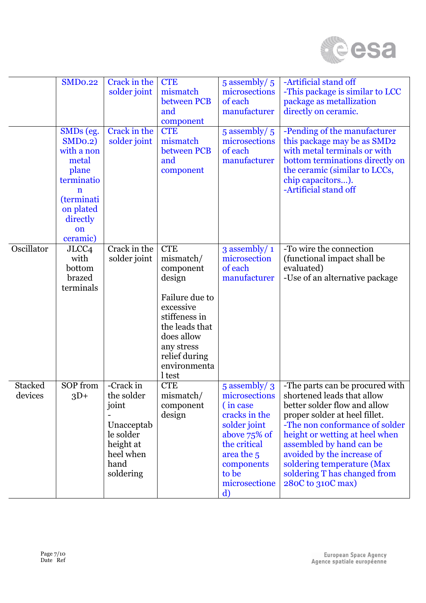

|                           | <b>SMD0.22</b>                                                                                                                              | Crack in the<br>solder joint                                                                               | <b>CTE</b><br>mismatch<br>between PCB<br>and<br>component                                                                                                                               | $5$ assembly/ $5$<br>microsections<br>of each<br>manufacturer                                                                                               | -Artificial stand off<br>-This package is similar to LCC<br>package as metallization<br>directly on ceramic.                                                                                                                                                                                                                                                    |
|---------------------------|---------------------------------------------------------------------------------------------------------------------------------------------|------------------------------------------------------------------------------------------------------------|-----------------------------------------------------------------------------------------------------------------------------------------------------------------------------------------|-------------------------------------------------------------------------------------------------------------------------------------------------------------|-----------------------------------------------------------------------------------------------------------------------------------------------------------------------------------------------------------------------------------------------------------------------------------------------------------------------------------------------------------------|
|                           | SMDs (eg.<br>SMD <sub>0.2</sub><br>with a non<br>metal<br>plane<br>terminatio<br>n<br>(terminati<br>on plated<br>directly<br>on<br>ceramic) | Crack in the<br>solder joint                                                                               | <b>CTE</b><br>mismatch<br>between PCB<br>and<br>component                                                                                                                               | $5$ assembly/ $5$<br>microsections<br>of each<br>manufacturer                                                                                               | -Pending of the manufacturer<br>this package may be as SMD2<br>with metal terminals or with<br>bottom terminations directly on<br>the ceramic (similar to LCCs,<br>chip capacitors).<br>-Artificial stand off                                                                                                                                                   |
| Oscillator                | JLCC <sub>4</sub><br>with<br>bottom<br>brazed<br>terminals                                                                                  | Crack in the<br>solder joint                                                                               | <b>CTE</b><br>mismatch/<br>component<br>design<br>Failure due to<br>excessive<br>stiffeness in<br>the leads that<br>does allow<br>any stress<br>relief during<br>environmenta<br>1 test | 3 assembly/1<br>microsection<br>of each<br>manufacturer                                                                                                     | -To wire the connection<br>(functional impact shall be<br>evaluated)<br>-Use of an alternative package                                                                                                                                                                                                                                                          |
| <b>Stacked</b><br>devices | SOP from<br>$3D+$                                                                                                                           | -Crack in<br>the solder<br>joint<br>Unacceptab<br>le solder<br>height at<br>heel when<br>hand<br>soldering | <b>CTE</b><br>mismatch/<br>component<br>design                                                                                                                                          | $5$ assembly/ $3$<br>(in case)<br>cracks in the<br>solder joint<br>above 75% of<br>the critical<br>area the 5<br>components<br>to be<br>microsectione<br>d) | -The parts can be procured with<br>microsections   shortened leads that allow<br>better solder flow and allow<br>proper solder at heel fillet.<br>-The non conformance of solder<br>height or wetting at heel when<br>assembled by hand can be<br>avoided by the increase of<br>soldering temperature (Max<br>soldering T has changed from<br>280C to 310C max) |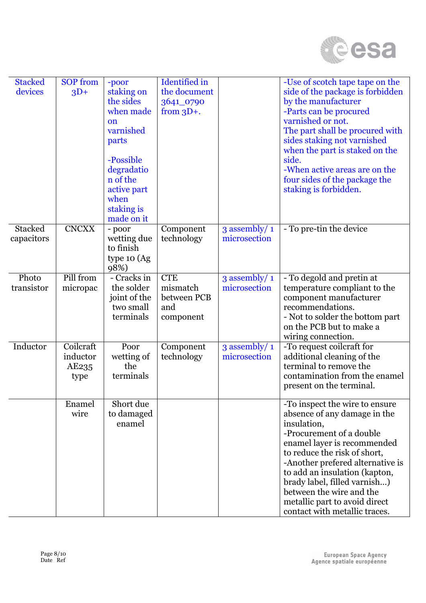

| <b>Stacked</b><br>devices | <b>SOP</b> from<br>$3D+$               | -poor<br>staking on<br>the sides<br>when made<br><sub>on</sub><br>varnished<br>parts<br>-Possible<br>degradatio<br>n of the<br>active part<br>when<br>staking is<br>made on it | <b>Identified</b> in<br>the document<br>3641_0790<br>from $3D+$ . |                              | -Use of scotch tape tape on the<br>side of the package is forbidden<br>by the manufacturer<br>-Parts can be procured<br>varnished or not.<br>The part shall be procured with<br>sides staking not varnished<br>when the part is staked on the<br>side.<br>-When active areas are on the<br>four sides of the package the<br>staking is forbidden.                           |
|---------------------------|----------------------------------------|--------------------------------------------------------------------------------------------------------------------------------------------------------------------------------|-------------------------------------------------------------------|------------------------------|-----------------------------------------------------------------------------------------------------------------------------------------------------------------------------------------------------------------------------------------------------------------------------------------------------------------------------------------------------------------------------|
| <b>Stacked</b>            | <b>CNCXX</b>                           | - poor                                                                                                                                                                         | Component                                                         | 3 assembly/1                 | - To pre-tin the device                                                                                                                                                                                                                                                                                                                                                     |
| capacitors                |                                        | wetting due<br>to finish<br>type $10 (Ag)$<br>98%)                                                                                                                             | technology                                                        | microsection                 |                                                                                                                                                                                                                                                                                                                                                                             |
| Photo                     | Pill from                              | - Cracks in                                                                                                                                                                    | <b>CTE</b>                                                        | 3 assembly/1                 | - To degold and pretin at                                                                                                                                                                                                                                                                                                                                                   |
| transistor                | micropac                               | the solder<br>joint of the<br>two small<br>terminals                                                                                                                           | mismatch<br>between PCB<br>and<br>component                       | microsection                 | temperature compliant to the<br>component manufacturer<br>recommendations.<br>- Not to solder the bottom part<br>on the PCB but to make a<br>wiring connection.                                                                                                                                                                                                             |
| Inductor                  | Coilcraft<br>inductor<br>AE235<br>type | Poor<br>wetting of<br>the<br>terminals                                                                                                                                         | Component<br>technology                                           | 3 assembly/1<br>microsection | -To request coilcraft for<br>additional cleaning of the<br>terminal to remove the<br>contamination from the enamel<br>present on the terminal.                                                                                                                                                                                                                              |
|                           | Enamel<br>wire                         | Short due<br>to damaged<br>enamel                                                                                                                                              |                                                                   |                              | -To inspect the wire to ensure<br>absence of any damage in the<br>insulation,<br>-Procurement of a double<br>enamel layer is recommended<br>to reduce the risk of short,<br>-Another prefered alternative is<br>to add an insulation (kapton,<br>brady label, filled varnish)<br>between the wire and the<br>metallic part to avoid direct<br>contact with metallic traces. |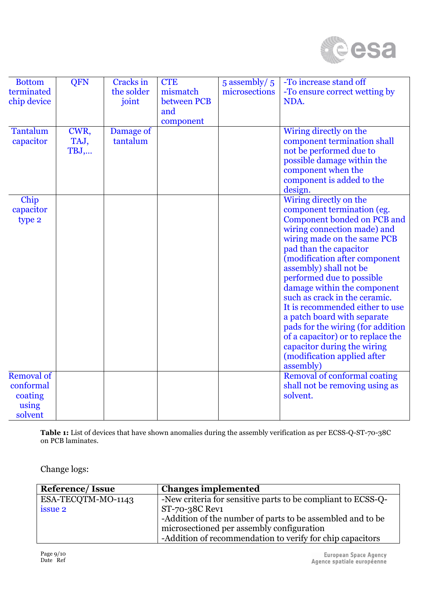

| <b>Bottom</b>             | QFN  | <b>Cracks</b> in    | <b>CTE</b>              | $5$ assembly/ $5$ | -To increase stand off                                   |
|---------------------------|------|---------------------|-------------------------|-------------------|----------------------------------------------------------|
| terminated<br>chip device |      | the solder<br>joint | mismatch<br>between PCB | microsections     | -To ensure correct wetting by<br>NDA.                    |
|                           |      |                     | and                     |                   |                                                          |
|                           |      |                     | component               |                   |                                                          |
| <b>Tantalum</b>           | CWR, | Damage of           |                         |                   | Wiring directly on the                                   |
| capacitor                 | TAJ, | tantalum            |                         |                   | component termination shall                              |
|                           | TBJ, |                     |                         |                   | not be performed due to                                  |
|                           |      |                     |                         |                   | possible damage within the<br>component when the         |
|                           |      |                     |                         |                   | component is added to the                                |
|                           |      |                     |                         |                   | design.                                                  |
| Chip                      |      |                     |                         |                   | Wiring directly on the                                   |
| capacitor                 |      |                     |                         |                   | component termination (eg.                               |
| type 2                    |      |                     |                         |                   | Component bonded on PCB and                              |
|                           |      |                     |                         |                   | wiring connection made) and                              |
|                           |      |                     |                         |                   | wiring made on the same PCB                              |
|                           |      |                     |                         |                   | pad than the capacitor                                   |
|                           |      |                     |                         |                   | (modification after component                            |
|                           |      |                     |                         |                   | assembly) shall not be                                   |
|                           |      |                     |                         |                   | performed due to possible<br>damage within the component |
|                           |      |                     |                         |                   | such as crack in the ceramic.                            |
|                           |      |                     |                         |                   | It is recommended either to use                          |
|                           |      |                     |                         |                   | a patch board with separate                              |
|                           |      |                     |                         |                   | pads for the wiring (for addition                        |
|                           |      |                     |                         |                   | of a capacitor) or to replace the                        |
|                           |      |                     |                         |                   | capacitor during the wiring                              |
|                           |      |                     |                         |                   | (modification applied after                              |
|                           |      |                     |                         |                   | assembly)                                                |
| <b>Removal of</b>         |      |                     |                         |                   | <b>Removal of conformal coating</b>                      |
| conformal                 |      |                     |                         |                   | shall not be removing using as<br>solvent.               |
| coating<br>using          |      |                     |                         |                   |                                                          |
| solvent                   |      |                     |                         |                   |                                                          |

**Table 1:** List of devices that have shown anomalies during the assembly verification as per ECSS-Q-ST-70-38C on PCB laminates.

Change logs:

| <b>Reference/Issue</b> | <b>Changes implemented</b>                                   |
|------------------------|--------------------------------------------------------------|
| ESA-TECQTM-MO-1143     | -New criteria for sensitive parts to be compliant to ECSS-Q- |
| issue 2                | ST-70-38C Rev1                                               |
|                        | -Addition of the number of parts to be assembled and to be   |
|                        | microsectioned per assembly configuration                    |
|                        | -Addition of recommendation to verify for chip capacitors    |